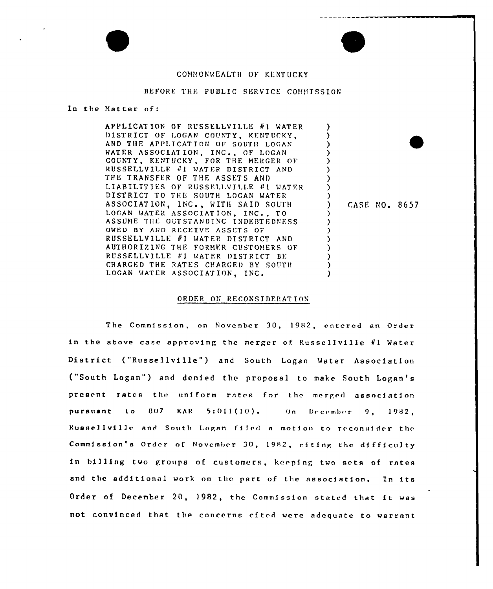## COMMONWEALTH OF KENTUCKY

## BEFORE THE PUBLIC SERVICE COMMISSION

In the Matter of:

APPLICATION OF RUSSELLVILLE #1 WATER DISTRICT OF LOGAN COUNTY, KENTUCKY. AND THE APPLICATION OF SOUTH LOGAN WATER ASSOCIATION, INC., OF LOGAN COUNTY, KENTUCKY, FOR THE MERGER OF RUSSELLVILLE #1 WATER DISTRICT AND THE TRANSFER OF THE ASSETS AND LIABILITIES OF RUSSELLVILLE #1 WATER DISTRICT TO THE SOUTH LOGAN WATER ASSOCIATION, INC., WITH SAID SOUTH LOGAN WATER ASSOCIATION, INC., TO ASSUME THE OUTSTANDING INDEBTEDNESS OWED BY AND RECEIVE ASSETS OF RUSSELLVILLE #1 WATER DISTRICT AND AUTHORIZING THE FORMER CUSTOMERS OF RUSSELLVILLE #1 WATER DISTRICT BE CHARGED THE RATES CHARGED BY SOUTH LOGAN WATER ASSOCIATION, INC.

CASE NO. 8657

 $\mathcal{Y}$ 

 $\lambda$ 

Y

 $\lambda$ 

## ORDER ON RECONSIDERATION

The Commission, on November 30, 1982, entered an Order in the above case approving the merger of Russellville #1 Water District ("Russellville") and South Logan Water Association ("South Logan") and denied the proposal to make South Logan's present rates the uniform rates for the merged association 807 **KAR**  $5:011(10)$ . pursuant to  $0n$ December  $9.1982.$ Russellville and South Logan filed a motion to reconsider the Commission's Order of November 30, 1982, citing the difficulty in billing two groups of customers, keeping two sets of rates and the additional work on the part of the association. In its Order of December 20, 1982, the Commission stated that it was not convinced that the concerns cited were adequate to warrant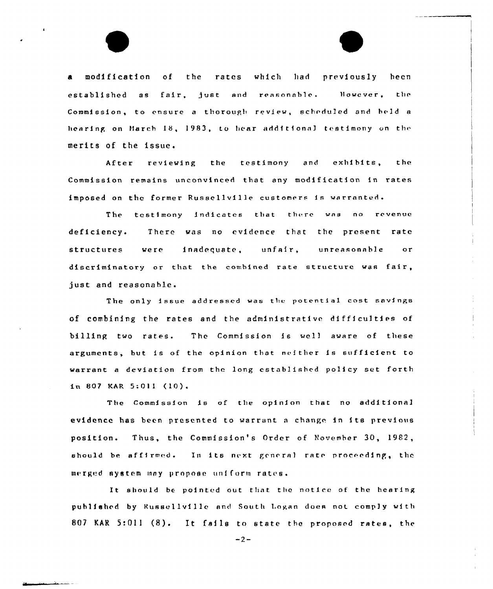a modification of the rates which had previously been established as fair, just and reasonable. However, the Commission, to ensure a thorough review, scheduled and held a hearing on March 18, 1983, to hear additional testimony on the merits of the issue.

After reviewing the testimony and exhibits, the Commission remains unconvinced that any modification in rates imposed on the former Russellville customers is warranted.

The testimony indicates that there was no revenue deficiency. There was no evidence that the present rate structures were inadequate, unfair, unreasonable or discriminatory or that the combined rate structure was fair, just and reasonable.

The only issue addressed was the potential cost savings of combining the rates and the administrative difficulties of billing two rates. The Commission is wel) aware of these arguments, but is of the opinion that neither is sufficient to warrant <sup>a</sup> deviation from the long established policy set forth  $in 807$  KAR  $5:011$  (10).

The Commission is of tbe opinion that no additional evidence has been presented to warrant <sup>a</sup> change in its previous position. Thus, the Commission's Order of November 30, 1982, should be affirmed. In its next general rate proceeding, the merged system may propose uniform rates.

It should be pointed out that the notice of the hearing published by Russellville and South Logan does not comply with 807 KAR 5:011 (8). It fails to state the proposed rates, the

 $-2-$